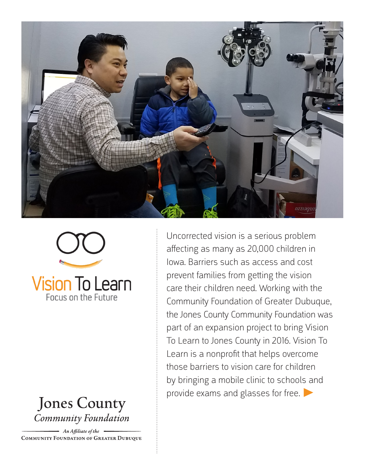





An Affiliate of the **COMMUNITY FOUNDATION OF GREATER DUBUQUE** 

Uncorrected vision is a serious problem affecting as many as 20,000 children in Iowa. Barriers such as access and cost prevent families from getting the vision care their children need. Working with the Community Foundation of Greater Dubuque, the Jones County Community Foundation was part of an expansion project to bring Vision To Learn to Jones County in 2016. Vision To Learn is a nonprofit that helps overcome those barriers to vision care for children by bringing a mobile clinic to schools and provide exams and glasses for free.